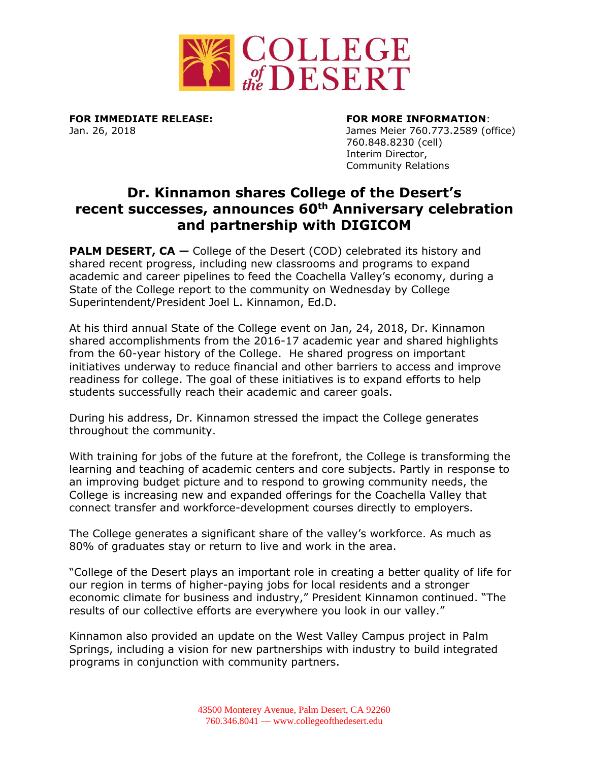

**FOR IMMEDIATE RELEASE: FOR MORE INFORMATION**:

Jan. 26, 2018 James Meier 760.773.2589 (office) 760.848.8230 (cell) Interim Director, Community Relations

## **Dr. Kinnamon shares College of the Desert's recent successes, announces 60th Anniversary celebration and partnership with DIGICOM**

**PALM DESERT, CA** – College of the Desert (COD) celebrated its history and shared recent progress, including new classrooms and programs to expand academic and career pipelines to feed the Coachella Valley's economy, during a State of the College report to the community on Wednesday by College Superintendent/President Joel L. Kinnamon, Ed.D.

At his third annual State of the College event on Jan, 24, 2018, Dr. Kinnamon shared accomplishments from the 2016-17 academic year and shared highlights from the 60-year history of the College. He shared progress on important initiatives underway to reduce financial and other barriers to access and improve readiness for college. The goal of these initiatives is to expand efforts to help students successfully reach their academic and career goals.

During his address, Dr. Kinnamon stressed the impact the College generates throughout the community.

With training for jobs of the future at the forefront, the College is transforming the learning and teaching of academic centers and core subjects. Partly in response to an improving budget picture and to respond to growing community needs, the College is increasing new and expanded offerings for the Coachella Valley that connect transfer and workforce-development courses directly to employers.

The College generates a significant share of the valley's workforce. As much as 80% of graduates stay or return to live and work in the area.

"College of the Desert plays an important role in creating a better quality of life for our region in terms of higher-paying jobs for local residents and a stronger economic climate for business and industry," President Kinnamon continued. "The results of our collective efforts are everywhere you look in our valley."

Kinnamon also provided an update on the West Valley Campus project in Palm Springs, including a vision for new partnerships with industry to build integrated programs in conjunction with community partners.